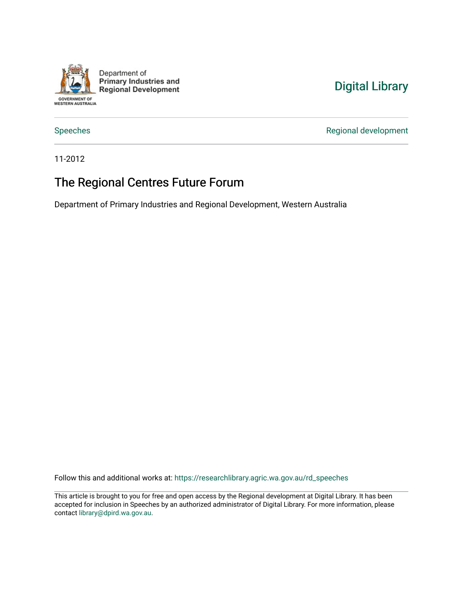

Department of **Primary Industries and Regional Development** 

# [Digital Library](https://researchlibrary.agric.wa.gov.au/)

[Speeches](https://researchlibrary.agric.wa.gov.au/rd_speeches) **Regional development** 

11-2012

## The Regional Centres Future Forum

Department of Primary Industries and Regional Development, Western Australia

Follow this and additional works at: [https://researchlibrary.agric.wa.gov.au/rd\\_speeches](https://researchlibrary.agric.wa.gov.au/rd_speeches?utm_source=researchlibrary.agric.wa.gov.au%2Frd_speeches%2F3&utm_medium=PDF&utm_campaign=PDFCoverPages) 

This article is brought to you for free and open access by the Regional development at Digital Library. It has been accepted for inclusion in Speeches by an authorized administrator of Digital Library. For more information, please contact [library@dpird.wa.gov.au](mailto:library@dpird.wa.gov.au).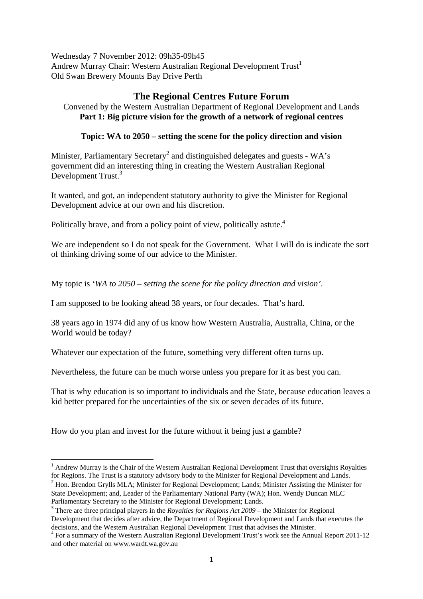Wednesday 7 November 2012: 09h35-09h45 Andrew Murray Chair: Western Australian Regional Development Trust<sup>1</sup> Old Swan Brewery Mounts Bay Drive Perth

### **The Regional Centres Future Forum**

Convened by the Western Australian Department of Regional Development and Lands **Part 1: Big picture vision for the growth of a network of regional centres** 

#### **Topic: WA to 2050 – setting the scene for the policy direction and vision**

Minister, Parliamentary Secretary<sup>2</sup> and distinguished delegates and guests - WA's government did an interesting thing in creating the Western Australian Regional Development Trust.<sup>3</sup>

It wanted, and got, an independent statutory authority to give the Minister for Regional Development advice at our own and his discretion.

Politically brave, and from a policy point of view, politically astute.<sup>4</sup>

We are independent so I do not speak for the Government. What I will do is indicate the sort of thinking driving some of our advice to the Minister.

My topic is *'WA to 2050 – setting the scene for the policy direction and vision'*.

I am supposed to be looking ahead 38 years, or four decades. That's hard.

38 years ago in 1974 did any of us know how Western Australia, Australia, China, or the World would be today?

Whatever our expectation of the future, something very different often turns up.

Nevertheless, the future can be much worse unless you prepare for it as best you can.

That is why education is so important to individuals and the State, because education leaves a kid better prepared for the uncertainties of the six or seven decades of its future.

How do you plan and invest for the future without it being just a gamble?

State Development; and, Leader of the Parliamentary National Party (WA); Hon. Wendy Duncan MLC Parliamentary Secretary to the Minister for Regional Development; Lands.

<sup>&</sup>lt;sup>1</sup> Andrew Murray is the Chair of the Western Australian Regional Development Trust that oversights Royalties for Regions. The Trust is a statutory advisory body to the Minister for Regional Development and Lands. <sup>2</sup> Hon. Brendon Grylls MLA; Minister for Regional Development; Lands; Minister Assisting the Minister for

<sup>3</sup> There are three principal players in the *Royalties for Regions Act 2009* – the Minister for Regional Development that decides after advice, the Department of Regional Development and Lands that executes the decisions, and the Western Australian Regional Development Trust that advises the Minister.

<sup>&</sup>lt;sup>4</sup> For a summary of the Western Australian Regional Development Trust's work see the Annual Report 2011-12 and other material on www.wardt.wa.gov.au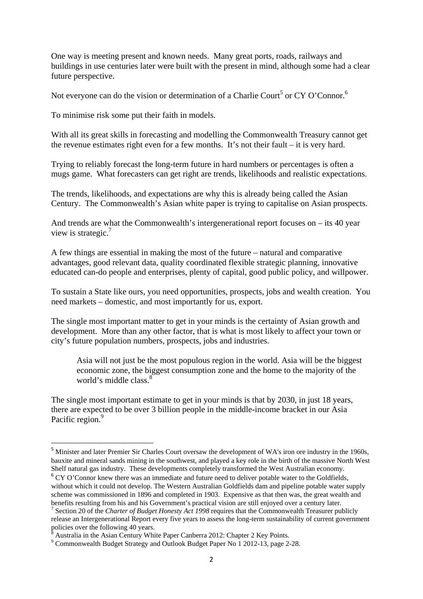One way is meeting present and known needs. Many great ports, roads, railways and buildings in use centuries later were built with the present in mind, although some had a clear future perspective.

Not everyone can do the vision or determination of a Charlie Court<sup>5</sup> or CY O'Connor.<sup>6</sup>

To minimise risk some put their faith in models.

With all its great skills in forecasting and modelling the Commonwealth Treasury cannot get the revenue estimates right even for a few months. It's not their fault – it is very hard.

Trying to reliably forecast the long-term future in hard numbers or percentages is often a mugs game. What forecasters can get right are trends, likelihoods and realistic expectations.

The trends, likelihoods, and expectations are why this is already being called the Asian Century. The Commonwealth's Asian white paper is trying to capitalise on Asian prospects.

And trends are what the Commonwealth's intergenerational report focuses on – its 40 year view is strategic. $7$ 

A few things are essential in making the most of the future – natural and comparative advantages, good relevant data, quality coordinated flexible strategic planning, innovative educated can-do people and enterprises, plenty of capital, good public policy, and willpower.

To sustain a State like ours, you need opportunities, prospects, jobs and wealth creation. You need markets – domestic, and most importantly for us, export.

The single most important matter to get in your minds is the certainty of Asian growth and development. More than any other factor, that is what is most likely to affect your town or city's future population numbers, prospects, jobs and industries.

Asia will not just be the most populous region in the world. Asia will be the biggest economic zone, the biggest consumption zone and the home to the majority of the world's middle class <sup>8</sup>

The single most important estimate to get in your minds is that by 2030, in just 18 years, there are expected to be over 3 billion people in the middle-income bracket in our Asia Pacific region.<sup>9</sup>

<sup>&</sup>lt;sup>5</sup> Minister and later Premier Sir Charles Court oversaw the development of WA's iron ore industry in the 1960s, bauxite and mineral sands mining in the southwest, and played a key role in the birth of the massive North West Shelf natural gas industry. These developments completely transformed the West Australian economy.  $6$  CY O'Connor knew there was an immediate and future need to deliver potable water to the Goldfields, without which it could not develop. The Western Australian Goldfields dam and pipeline potable water supply

scheme was commissioned in 1896 and completed in 1903. Expensive as that then was, the great wealth and benefits resulting from his and his Government's practical vision are still enjoyed over a century later. 7

<sup>&</sup>lt;sup>7</sup> Section 20 of the *Charter of Budget Honesty Act 1998* requires that the Commonwealth Treasurer publicly release an Intergenerational Report every five years to assess the long-term sustainability of current government policies over the following 40 years.<br><sup>8</sup> Australia in the Asian Contum Whi

Australia in the Asian Century White Paper Canberra 2012: Chapter 2 Key Points.

<sup>&</sup>lt;sup>9</sup> Commonwealth Budget Strategy and Outlook Budget Paper No 1 2012-13, page 2-28.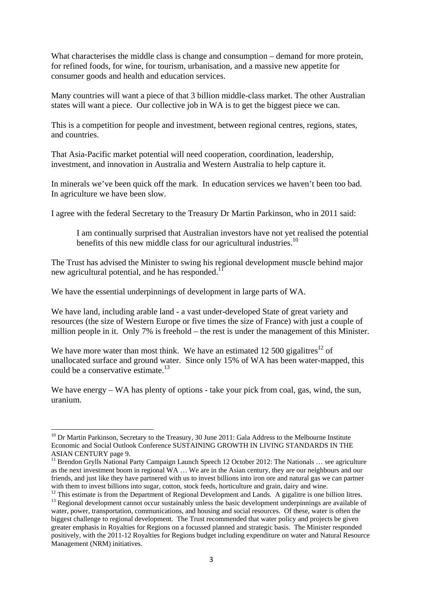What characterises the middle class is change and consumption – demand for more protein, for refined foods, for wine, for tourism, urbanisation, and a massive new appetite for consumer goods and health and education services.

Many countries will want a piece of that 3 billion middle-class market. The other Australian states will want a piece. Our collective job in WA is to get the biggest piece we can.

This is a competition for people and investment, between regional centres, regions, states, and countries.

That Asia-Pacific market potential will need cooperation, coordination, leadership, investment, and innovation in Australia and Western Australia to help capture it.

In minerals we've been quick off the mark. In education services we haven't been too bad. In agriculture we have been slow.

I agree with the federal Secretary to the Treasury Dr Martin Parkinson, who in 2011 said:

I am continually surprised that Australian investors have not yet realised the potential benefits of this new middle class for our agricultural industries.<sup>10</sup>

The Trust has advised the Minister to swing his regional development muscle behind major new agricultural potential, and he has responded.<sup>1</sup>

We have the essential underpinnings of development in large parts of WA.

We have land, including arable land - a vast under-developed State of great variety and resources (the size of Western Europe or five times the size of France) with just a couple of million people in it. Only 7% is freehold – the rest is under the management of this Minister.

We have more water than most think. We have an estimated 12 500 gigalitres<sup>12</sup> of unallocated surface and ground water. Since only 15% of WA has been water-mapped, this could be a conservative estimate.<sup>13</sup>

We have energy – WA has plenty of options - take your pick from coal, gas, wind, the sun, uranium.

<sup>&</sup>lt;sup>10</sup> Dr Martin Parkinson, Secretary to the Treasury, 30 June 2011: Gala Address to the Melbourne Institute Economic and Social Outlook Conference SUSTAINING GROWTH IN LIVING STANDARDS IN THE ASIAN CENTURY page 9.

<sup>&</sup>lt;sup>11</sup> Brendon Grylls National Party Campaign Launch Speech 12 October 2012: The Nationals ... see agriculture as the next investment boom in regional WA … We are in the Asian century, they are our neighbours and our friends, and just like they have partnered with us to invest billions into iron ore and natural gas we can partner with them to invest billions into sugar, cotton, stock feeds, horticulture and grain, dairy and wine.

<sup>&</sup>lt;sup>12</sup> This estimate is from the Department of Regional Development and Lands. A gigalitre is one billion litres.<br><sup>13</sup> Regional development cannot occur sustainably unless the basic development underpinnings are available o water, power, transportation, communications, and housing and social resources. Of these, water is often the biggest challenge to regional development. The Trust recommended that water policy and projects be given greater emphasis in Royalties for Regions on a focussed planned and strategic basis. The Minister responded positively, with the 2011-12 Royalties for Regions budget including expenditure on water and Natural Resource Management (NRM) initiatives.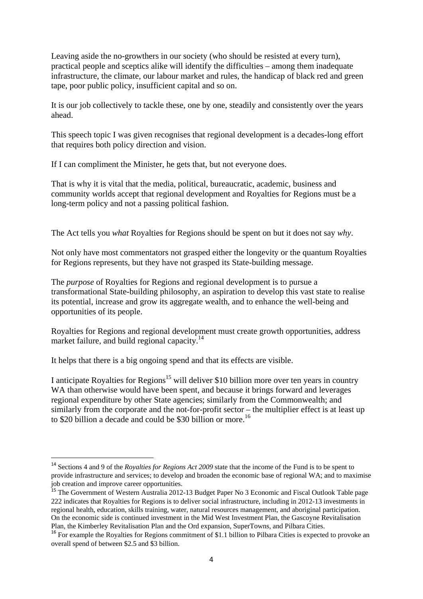Leaving aside the no-growthers in our society (who should be resisted at every turn), practical people and sceptics alike will identify the difficulties – among them inadequate infrastructure, the climate, our labour market and rules, the handicap of black red and green tape, poor public policy, insufficient capital and so on.

It is our job collectively to tackle these, one by one, steadily and consistently over the years ahead.

This speech topic I was given recognises that regional development is a decades-long effort that requires both policy direction and vision.

If I can compliment the Minister, he gets that, but not everyone does.

That is why it is vital that the media, political, bureaucratic, academic, business and community worlds accept that regional development and Royalties for Regions must be a long-term policy and not a passing political fashion.

The Act tells you *what* Royalties for Regions should be spent on but it does not say *why*.

Not only have most commentators not grasped either the longevity or the quantum Royalties for Regions represents, but they have not grasped its State-building message.

The *purpose* of Royalties for Regions and regional development is to pursue a transformational State-building philosophy, an aspiration to develop this vast state to realise its potential, increase and grow its aggregate wealth, and to enhance the well-being and opportunities of its people.

Royalties for Regions and regional development must create growth opportunities, address market failure, and build regional capacity.<sup>14</sup>

It helps that there is a big ongoing spend and that its effects are visible.

I anticipate Royalties for Regions<sup>15</sup> will deliver \$10 billion more over ten years in country WA than otherwise would have been spent, and because it brings forward and leverages regional expenditure by other State agencies; similarly from the Commonwealth; and similarly from the corporate and the not-for-profit sector – the multiplier effect is at least up to \$20 billion a decade and could be \$30 billion or more.<sup>16</sup>

<sup>14</sup> Sections 4 and 9 of the *Royalties for Regions Act 2009* state that the income of the Fund is to be spent to provide infrastructure and services; to develop and broaden the economic base of regional WA; and to maximise job creation and improve career opportunities.

<sup>&</sup>lt;sup>15</sup> The Government of Western Australia 2012-13 Budget Paper No 3 Economic and Fiscal Outlook Table page 222 indicates that Royalties for Regions is to deliver social infrastructure, including in 2012-13 investments in regional health, education, skills training, water, natural resources management, and aboriginal participation. On the economic side is continued investment in the Mid West Investment Plan, the Gascoyne Revitalisation Plan, the Kimberley Revitalisation Plan and the Ord expansion, SuperTowns, and Pilbara Cities.

<sup>&</sup>lt;sup>16</sup> For example the Royalties for Regions commitment of \$1.1 billion to Pilbara Cities is expected to provoke an overall spend of between \$2.5 and \$3 billion.